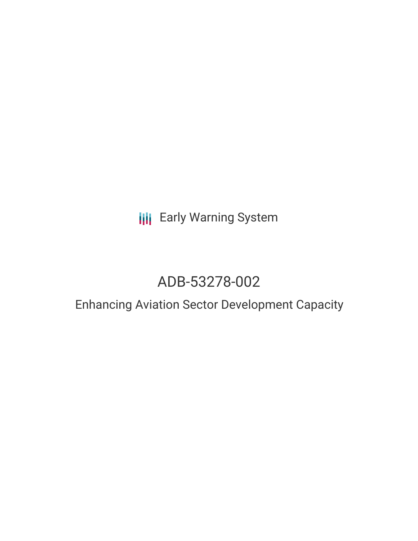**III** Early Warning System

# ADB-53278-002

## Enhancing Aviation Sector Development Capacity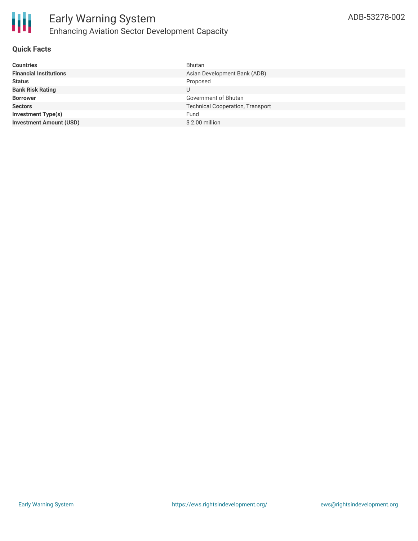

#### **Quick Facts**

| <b>Countries</b>               | Bhutan                                  |
|--------------------------------|-----------------------------------------|
| <b>Financial Institutions</b>  | Asian Development Bank (ADB)            |
| <b>Status</b>                  | Proposed                                |
| <b>Bank Risk Rating</b>        | U                                       |
| <b>Borrower</b>                | Government of Bhutan                    |
| <b>Sectors</b>                 | <b>Technical Cooperation, Transport</b> |
| <b>Investment Type(s)</b>      | Fund                                    |
| <b>Investment Amount (USD)</b> | \$2.00 million                          |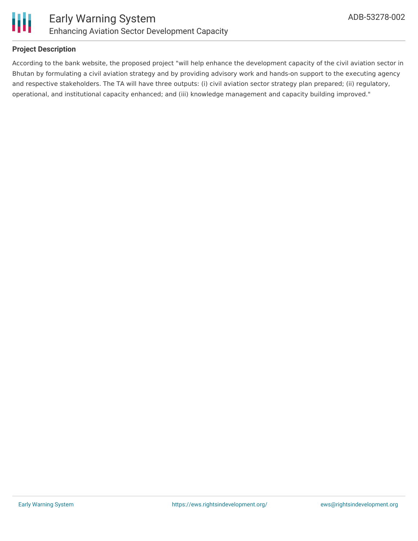

#### **Project Description**

According to the bank website, the proposed project "will help enhance the development capacity of the civil aviation sector in Bhutan by formulating a civil aviation strategy and by providing advisory work and hands-on support to the executing agency and respective stakeholders. The TA will have three outputs: (i) civil aviation sector strategy plan prepared; (ii) regulatory, operational, and institutional capacity enhanced; and (iii) knowledge management and capacity building improved."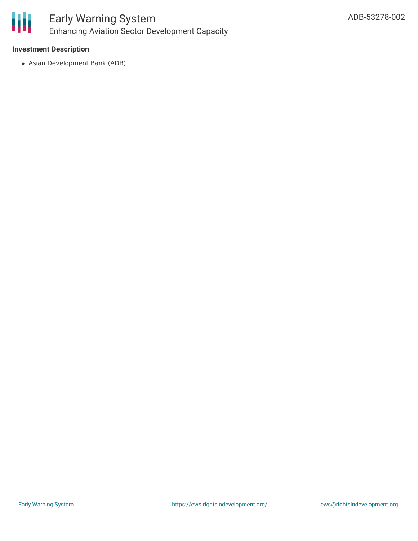

### Early Warning System Enhancing Aviation Sector Development Capacity

#### **Investment Description**

Asian Development Bank (ADB)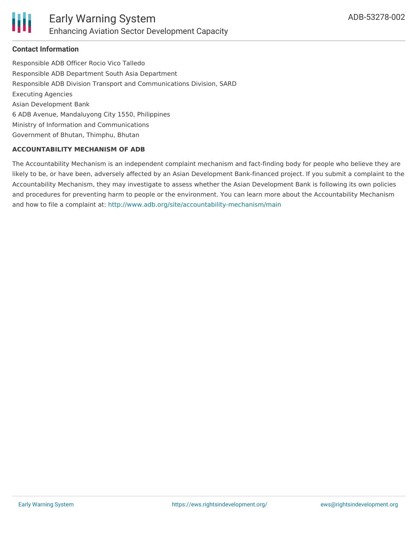

#### **Contact Information**

Responsible ADB Officer Rocio Vico Talledo Responsible ADB Department South Asia Department Responsible ADB Division Transport and Communications Division, SARD Executing Agencies Asian Development Bank 6 ADB Avenue, Mandaluyong City 1550, Philippines Ministry of Information and Communications Government of Bhutan, Thimphu, Bhutan

#### **ACCOUNTABILITY MECHANISM OF ADB**

The Accountability Mechanism is an independent complaint mechanism and fact-finding body for people who believe they are likely to be, or have been, adversely affected by an Asian Development Bank-financed project. If you submit a complaint to the Accountability Mechanism, they may investigate to assess whether the Asian Development Bank is following its own policies and procedures for preventing harm to people or the environment. You can learn more about the Accountability Mechanism and how to file a complaint at: <http://www.adb.org/site/accountability-mechanism/main>